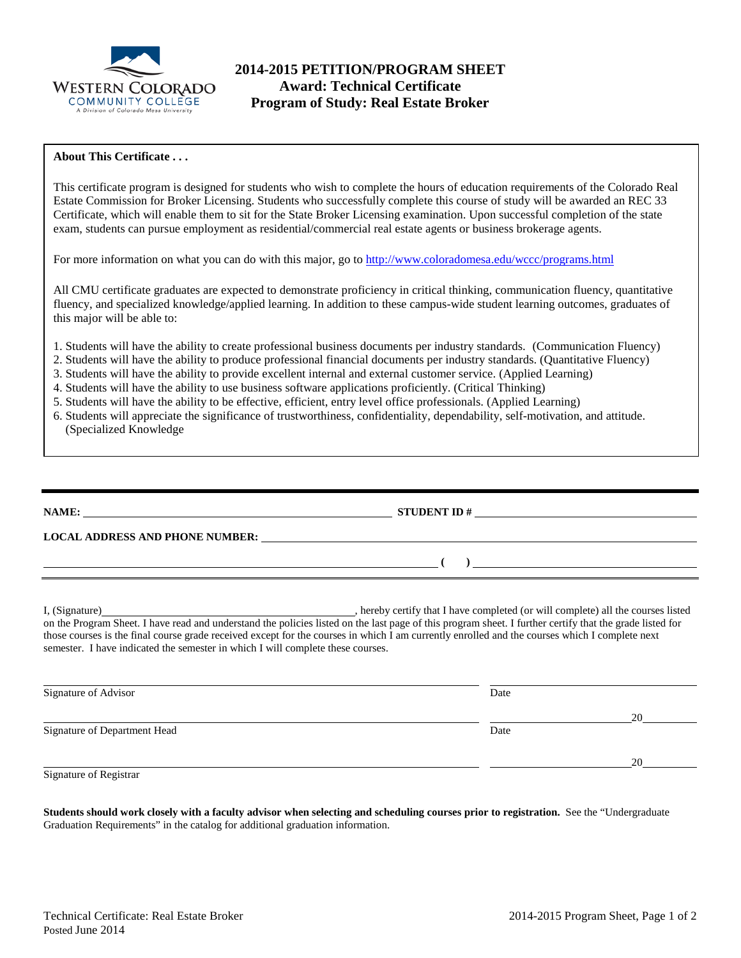

# **2014-2015 PETITION/PROGRAM SHEET Award: Technical Certificate Program of Study: Real Estate Broker**

#### **About This Certificate . . .**

This certificate program is designed for students who wish to complete the hours of education requirements of the Colorado Real Estate Commission for Broker Licensing. Students who successfully complete this course of study will be awarded an REC 33 Certificate, which will enable them to sit for the State Broker Licensing examination. Upon successful completion of the state exam, students can pursue employment as residential/commercial real estate agents or business brokerage agents.

For more information on what you can do with this major, go to<http://www.coloradomesa.edu/wccc/programs.html>

All CMU certificate graduates are expected to demonstrate proficiency in critical thinking, communication fluency, quantitative fluency, and specialized knowledge/applied learning. In addition to these campus-wide student learning outcomes, graduates of this major will be able to:

- 1. Students will have the ability to create professional business documents per industry standards. (Communication Fluency)
- 2. Students will have the ability to produce professional financial documents per industry standards. (Quantitative Fluency)
- 3. Students will have the ability to provide excellent internal and external customer service. (Applied Learning)
- 4. Students will have the ability to use business software applications proficiently. (Critical Thinking)
- 5. Students will have the ability to be effective, efficient, entry level office professionals. (Applied Learning)
- 6. Students will appreciate the significance of trustworthiness, confidentiality, dependability, self-motivation, and attitude. (Specialized Knowledge

| STUDENT ID # $\sqrt{2\pi r}$ = $\sqrt{2\pi r}$ = $\sqrt{2\pi r}$ = $\sqrt{2\pi r}$ = $\sqrt{2\pi r}$ = $\sqrt{2\pi r}$ = $\sqrt{2\pi r}$ = $\sqrt{2\pi r}$ = $\sqrt{2\pi r}$ = $\sqrt{2\pi r}$ = $\sqrt{2\pi r}$ = $\sqrt{2\pi r}$ = $\sqrt{2\pi r}$ = $\sqrt{2\pi r}$ = $\sqrt{2\pi r}$ = $\sqrt{2\pi r}$ =                                                                                                |
|-------------------------------------------------------------------------------------------------------------------------------------------------------------------------------------------------------------------------------------------------------------------------------------------------------------------------------------------------------------------------------------------------------------|
| LOCAL ADDRESS AND PHONE NUMBER: University of the contract of the contract of the contract of the contract of the contract of the contract of the contract of the contract of the contract of the contract of the contract of                                                                                                                                                                               |
| $\overline{a}$<br>$\overline{\phantom{a}}$ (                                                                                                                                                                                                                                                                                                                                                                |
| I, (Signature) hereby certify that I have completed (or will complete) all the courses listed<br>on the Program Sheet. I have read and understand the policies listed on the last page of this program sheet. I further certify that the grade listed for<br>those courses is the final course grade received except for the courses in which I am currently enrolled and the courses which I complete next |

those courses is the final course grade received except for the courses in which I am currently enrolled and the courses which I complete next semester. I have indicated the semester in which I will complete these courses.

| Signature of Advisor         | Date |    |
|------------------------------|------|----|
|                              |      | 20 |
| Signature of Department Head | Date |    |
|                              |      | 20 |
| Signature of Registrar       |      |    |

**Students should work closely with a faculty advisor when selecting and scheduling courses prior to registration.** See the "Undergraduate Graduation Requirements" in the catalog for additional graduation information.